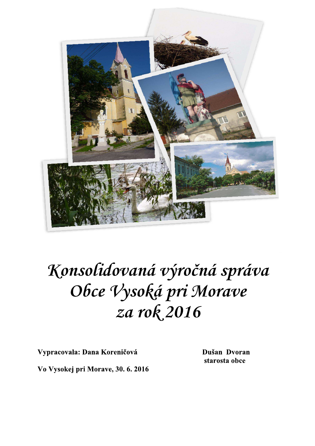

# Konsolidovaná výročná správa Obce Vysoká pri Morave za rok 2016

Vypracovala: Dana Koreničová

Dušan Dvoran starosta obce

Vo Vysokej pri Morave, 30. 6. 2016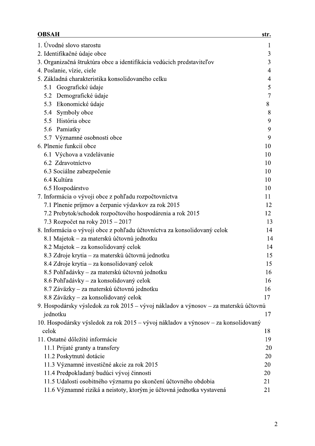| <b>OBSAH</b>                                                                         | str.   |
|--------------------------------------------------------------------------------------|--------|
| 1. Úvodné slovo starostu                                                             | 1      |
| 2. Identifikačné údaje obce                                                          | 3      |
| 3. Organizačná štruktúra obce a identifikácia vedúcich predstaviteľov                | 3      |
| 4. Poslanie, vízie, ciele                                                            | 4      |
| 5. Základná charakteristika konsolidovaného celku                                    | 4      |
| 5.1 Geografické údaje                                                                | 5      |
| Demografické údaje<br>5.2                                                            | $\tau$ |
| Ekonomické údaje<br>5.3                                                              | 8      |
| Symboly obce<br>5.4                                                                  | 8      |
| História obce<br>5.5                                                                 | 9      |
| 5.6 Pamiatky                                                                         | 9      |
| 5.7 Významné osobnosti obce                                                          | 9      |
| 6. Plnenie funkcií obce                                                              | 10     |
| 6.1 Výchova a vzdelávanie                                                            | 10     |
| 6.2 Zdravotníctvo                                                                    | 10     |
| 6.3 Sociálne zabezpečenie                                                            | 10     |
| 6.4 Kultúra                                                                          | 10     |
| 6.5 Hospodárstvo                                                                     | 10     |
| 7. Informácia o vývoji obce z pohľadu rozpočtovníctva                                | 11     |
| 7.1 Plnenie príjmov a čerpanie výdavkov za rok 2015                                  | 12     |
| 7.2 Prebytok/schodok rozpočtového hospodárenia a rok 2015                            | 12     |
| 7.3 Rozpočet na roky $2015 - 2017$                                                   | 13     |
| 8. Informácia o vývoji obce z pohľadu účtovníctva za konsolidovaný celok             | 14     |
| 8.1 Majetok – za materskú účtovnú jednotku                                           | 14     |
| 8.2 Majetok – za konsolidovaný celok                                                 | 14     |
| 8.3 Zdroje krytia – za materskú účtovnú jednotku                                     | 15     |
| 8.4 Zdroje krytia – za konsolidovaný celok                                           | 15     |
| 8.5 Pohľadávky – za materskú účtovnú jednotku                                        | 16     |
| 8.6 Pohľadávky – za konsolidovaný celok                                              | 16     |
| 8.7 Záväzky – za materskú účtovnú jednotku                                           | 16     |
| 8.8 Záväzky – za konsolidovaný celok                                                 | 17     |
| 9. Hospodársky výsledok za rok 2015 – vývoj nákladov a výnosov – za materskú účtovnú |        |
| jednotku                                                                             | 17     |
| 10. Hospodársky výsledok za rok 2015 – vývoj nákladov a výnosov – za konsolidovaný   |        |
| celok                                                                                | 18     |
| 11. Ostatné dôležité informácie                                                      | 19     |
| 11.1 Prijaté granty a transfery                                                      | 20     |
| 11.2 Poskytnuté dotácie                                                              | 20     |
| 11.3 Významné investičné akcie za rok 2015                                           | 20     |
| 11.4 Predpokladaný budúci vývoj činnosti                                             | 20     |
| 11.5 Udalosti osobitného významu po skončení účtovného obdobia                       | 21     |
| 11.6 Významné riziká a neistoty, ktorým je účtovná jednotka vystavená                | 21     |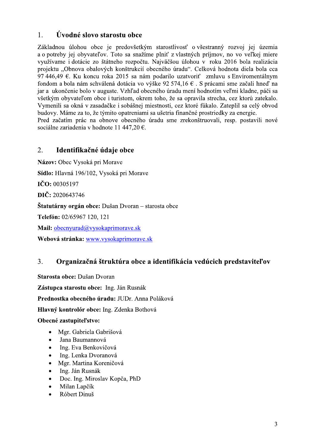## Úvodné slovo starostu obce 1.

Základnou úlohou obce je predovšetkým starostlivosť o všestranný rozvoj jej územia a o potreby jej obyvateľov. Toto sa snažíme plniť z vlastných príjmov, no vo veľkej miere využívame i dotácie zo štátneho rozpočtu. Najväčšou úlohou v roku 2016 bola realizácia projektu "Obnova obalových konštrukcií obecného úradu". Celková hodnota diela bola cca 97 446,49  $\epsilon$ . Ku koncu roka 2015 sa nám podarilo uzatvoriť zmluvu s Enviromentálnym fondom a bola nám schválená dotácia vo výške 92 574,16 €. S prácami sme začali hneď na jar a ukončenie bolo v auguste. Vzhľad obecného úradu mení hodnotím veľmi kladne, páči sa všetkým obyvateľom obce i turistom, okrem toho, že sa opravila strecha, cez ktorú zatekalo. Vymenili sa okná v zasadačke i sobášnej miestnosti, cez ktoré fúkalo. Zateplil sa celý obvod budovy. Máme za to, že týmito opatreniami sa ušetria finančné prostriedky za energie. Pred začatím prác na obnove obecného úradu sme zrekonštruovali, resp. postavili nové

sociálne zariadenia v hodnote 11 447,20 €.

## $\overline{2}$ . Identifikačné údaje obce

Názov: Obec Vysoká pri Morave Sídlo: Hlavná 196/102, Vysoká pri Morave  $\check{\mathrm{ICO}}$ : 00305197 DIČ: 2020643746 **Štatutárny orgán obce:** Dušan Dvoran – starosta obce Telefón: 02/65967 120, 121 Mail: obecnyurad@vysokaprimorave.sk Webová stránka: www.vysokaprimorave.sk

## $\overline{3}$ . Organizačná štruktúra obce a identifikácia vedúcich predstaviteľov

Starosta obce: Dušan Dvoran Zástupca starostu obce: Ing. Ján Rusnák Prednostka obecného úradu: JUDr. Anna Poláková Hlavný kontrolór obce: Ing. Zdenka Bothová Obecné zastupiteľstvo:

- Mgr. Gabriela Gabrišová  $\bullet$
- Jana Baumannová
- Ing. Eva Benkovičová  $\bullet$
- Ing. Lenka Dvoranová
- Mgr. Martina Koreničová
- Ing. Ján Rusnák
- Doc. Ing. Miroslav Kopča, PhD
- Milan Lapčík
- Róbert Dinuš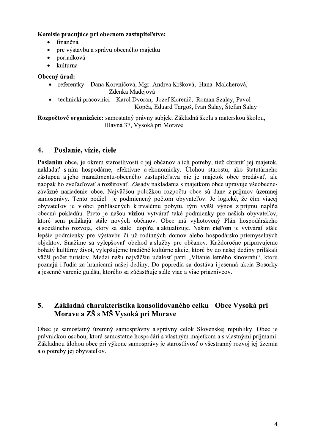# Komisie pracujúce pri obecnom zastupiteľstve:

- finančná
- pre výstavbu a správu obecného majetku  $\bullet$
- poriadková  $\bullet$
- kultúrna

# Obecný úrad:

- referentky Dana Koreničová, Mgr. Andrea Kršková, Hana Malcherová,  $\bullet$ Zdenka Madejová
- technickí pracovníci Karol Dvoran, Jozef Korenič, Roman Szalay, Pavol Kopča, Eduard Targoš, Ivan Salay, Štefan Salay

Rozpočtové organizácie: samostatný právny subjekt Základná škola s materskou školou, Hlavná 37, Vysoká pri Morave

## $\overline{4}$ . Poslanie, vízie, ciele

Poslaním obce, je okrem starostlivosti o jej občanov a ich potreby, tiež chrániť jej majetok, nakladať s ním hospodárne, efektívne a ekonomicky. Úlohou starostu, ako štatutárneho zástupcu a jeho manažmentu-obecného zastupiteľstva nie je majetok obce predávať, ale naopak ho zveľaďovať a rozširovať. Zásady nakladania s majetkom obce upravuje všeobecnezáväzné nariadenie obce. Najväčšou položkou rozpočtu obce sú dane z príjmov územnej samosprávy. Tento podiel je podmienený počtom obyvateľov. Je logické, že čím viacej obyvateľov je v obci prihlásených k trvalému pobytu, tým vyšší výnos z príjmu napĺňa obecnú pokladňu. Preto je našou víziou vytvárať také podmienky pre našich obyvateľov, ktoré sem prilákajú stále nových občanov. Obec má vyhotovený Plán hospodárskeho a sociálneho rozvoja, ktorý sa stále dopĺňa a aktualizuje. Našim cieľom je vytvárať stále lepšie podmienky pre výstavbu či už rodinných domov alebo hospodársko-priemyselných objektov. Snažíme sa vylepšovať obchod a služby pre občanov. Každoročne pripravujeme bohatý kultúrny život, vylepšujeme tradičné kultúrne akcie, ktoré by do našej dediny prilákali väčší počet turistov. Medzi našu najväčšiu udalosť patrí "Vítanie letného slnovratu", ktorú poznajú i ľudia za hranicami našej dediny. Do popredia sa dostáva i jesenná akcia Bosorky a jesenné varenie gulášu, ktorého sa zúčastňuje stále viac a viac priaznivcov.

## Základná charakteristika konsolidovaného celku - Obce Vysoká pri 5. Morave a ZŠ s MŠ Vysoká pri Morave

Obec je samostatný územný samosprávny a správny celok Slovenskej republiky. Obec je právnickou osobou, ktorá samostatne hospodári s vlastným majetkom a s vlastnými príjmami. Základnou úlohou obce pri výkone samosprávy je starostlivosť o všestranný rozvoj jej územia a o potreby jej obyvateľov.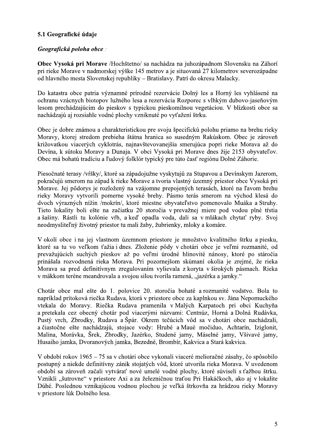# 5.1 Geografické údaje

# Geografická poloha obce:

Obec Vysoká pri Morave /Hochštetno/ sa nachádza na juhozápadnom Slovensku na Záhorí pri rieke Morave v nadmorskej výške 145 metrov a je situovaná 27 kilometrov severozápadne od hlavného mesta Slovenskej republiky – Bratislavy. Patrí do okresu Malacky.

Do katastra obce patria významné prírodné rezervácie Dolný les a Horný les vyhlásené na ochranu vzácnych biotopov lužného lesa a rezervácia Rozporec s vlhkým dubovo-jaseňovým lesom prechádzajúcim do pieskov s typickou pieskomilnou vegetáciou. V blízkosti obce sa nachádzajú aj rozsiahle vodné plochy vzniknuté po vyťažení štrku.

Obec je dobre známou a charakteristickou pre svoju špecifickú polohu priamo na brehu rieky Moravy, ktorej stredom prebieha štátna hranica so susedným Rakúskom. Obec je zároveň križovatkou viacerých cyklotrás, najnavštevovanejšia smerujúca popri rieke Morava až do Devína, k sútoku Moravy a Dunaja. V obci Vysoká pri Morave dnes žije 2153 obyvateľov. Obec má bohatú tradíciu a ľudový folklór typický pre túto časť regiónu Dolné Záhorie.

Piesočnaté terasy /vŕšky/, ktoré sa západojužne vyskytujú za Stupavou a Devínskym Jazerom, pokračujú smerom na západ k rieke Morave a tvoria vlastný územný priestor obce Vysoká pri Morave. Jej pôdorys je rozložený na vzájomne prepojených terasách, ktoré na ľavom brehu rieky Moravy vytvorili pomerne vysoké brehy. Pásmo terás smerom na východ klesá do dvoch výrazných nížin /mokrín/, ktoré miestne obyvateľstvo pomenovalo Muáka a Struhy. Tieto lokality boli ešte na začiatku 20 storočia v prevažnej miere pod vodou plné tŕstia a šašiny. Rástli tu kolónie vŕb, a keď opadla voda, dali sa v mlákach chytať ryby. Svoj neodmysliteľný životný priestor tu mali žaby, žubrienky, mloky a komáre.

V okolí obce i na jej vlastnom územnom priestore je množstvo kvalitného štrku a piesku, ktoré sa tu vo veľkom ťažia i dnes. Zloženie pôdy v chotári obce je veľmi rozmanité, od prevažujúcich suchých pieskov až po veľmi úrodné hlinovité nánosy, ktoré po stáročia prinášala rozvodnená rieka Morava. Pri pozornejšom skúmaní okolia je zrejmé, že rieka Morava sa pred definitívnym zregulovaním vylievala z koryta v širokých pásmach. Rieka v mäkkom teréne meandrovala a svojou silou tvorila ramená, "jazérka a jamky."

Chotár obce mal ešte do 1. polovice 20. storočia bohaté a rozmanité vodstvo. Bola to napríklad prítoková riečka Rudava, ktorá v priestore obce za kaplnkou sv. Jána Nepomuckého vtekala do Moravy. Riečka Rudava pramenila v Malých Karpatoch pri obci Kuchyňa a pretekala cez obecný chotár pod viacerými názvami: Centnúz, Horná a Dolná Rudávka, Pustý vrch, Zbrodky, Rudava a Špár. Okrem tečúcich vôd sa v chotári obce nachádzali, a čiastočne ešte nachádzajú, stojace vody: Hrubé a Maué močiduo, Achtarín, Iziglonit, Malina, Morávka, Šrek, Zbrodky, Jazérko, Studené jamy, Máselné jamy, Všivavé jamy, Husaiho jamka, Dvoranových jamka, Bezedné, Brombír, Kakvica a Stará kakvica.

V období rokov 1965 – 75 sa v chotári obce vykonali viaceré melioračné zásahy, čo spôsobilo postupný a niekde definitívny zánik stojatých vôd, ktoré utvorila rieka Morava. V uvedenom období sa zároveň začali vytvárať nové umelé vodné plochy, ktoré súviseli s ťažbou štrku. Vznikli "šutrovne" v priestore Axi a za železničnou traťou Pri Hakáčkoch, ako aj v lokalite Dúhé. Poslednou vznikajúcou vodnou plochou je veľká štrkovňa za hrádzou rieky Moravy v priestore lúk Dolného lesa.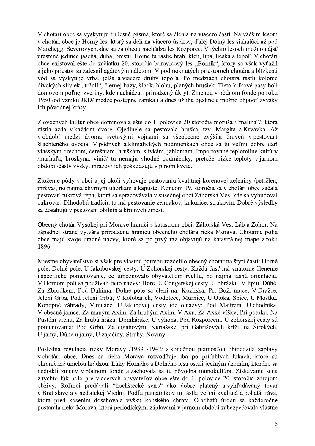V chotári obce sa vyskytujú tri lesné pásma, ktoré sa členia na viacero častí. Najväčším lesom v chotári obce je Horný les, ktorý sa delí na viacero úsekov, ďalej Dolný les siahajúci až pod Marchegg. Severovýchodne sa za obcou nachádza les Rozporec. V týchto lesoch možno nájsť urastené jedince jaseňa, duba, brestu. Hojne tu rastie hrab, klen, lipa, lieska a topoľ. V chotári obce existoval ešte do začiatku 20. storočia borovicový les "Borník", ktorý sa však vyťažil a jeho priestor sa zalesnil agátovým náletom. V podmoknutých priestoroch chotára a blízkosti vôd sa vyskytuje vŕba, jelša a viaceré druhy topoľa. Po medziach chotára rástli kolónie divokých sliviek "trňulí", čiernej bazy, šípok, hlohu, planých hrušiek. Tieto kríkové pásy boli domovom poľnej zveriny, kde nachádzali prirodzený úkryt. Zmenou v pôdnom fonde po roku 1950 /od vzniku JRD/ medze postupne zanikali a dnes už iba ojedinele možno objaviť zvyšky ich pôvodnej krásy.

Z ovocných kultúr obce dominovala ešte do 1. polovice 20 storočia moruša /"malina"/, ktorá rástla azda v každom dvore. Ojedinele sa pestovala hruška, tzv. Margita a Krvávka. Až v období medzi dvoma svetovými vojnami sa všeobecne zvýšila úroveň v pestovaní šľachteného ovocia. V pôdnych a klimatických podmienkach obce sa tu veľmi dobre darí vlašským orechom, čerešniam, hruškám, slivkám, jabloniam. Importované teplomilné kultúry /marhuľa, broskyňa, vinič/ tu nemajú vhodné podmienky, pretože nízke teploty v jarnom období /častý výskyt mrazov/ ich poškodzujú v plnom kvete.

Zloženie pôdy v obci a jej okolí vyhovuje pestovaniu kvalitnej koreňovej zeleniny /petržlen, mrkva/, no najmä chýrnym uhorkám a kapuste. Koncom 19. storočia sa v chotári obce začala pestovať cukrová repa, ktorá sa spracovávala v susednej obci Záhorská Ves, kde sa vybudoval cukrovar. Dlhodobú tradíciu tu má pestovanie zemiakov, kukurice, strukovín. Dobré výsledky sa dosahujú v pestovaní obilnín a kŕmnych zmesí.

Obecný chotár Vysokej pri Morave hraničí s katastrom obcí: Záhorská Ves, Láb a Zohor. Na západnej strane vytvára prirodzenú hranicu obecného chotára rieka Morava. Chotárne polia obce majú svoje úradné názvy, ktoré sa po prvý raz objavujú na katastrálnej mape z roku 1896.

Miestne obyvateľstvo si však pre vlastnú potrebu rozdelilo obecný chotár na štyri časti: Horné pole, Dolné pole, U Jakubovskej cesty, U Zohorskej cesty. Každá časť má vnútorné členenie i špecifické pomenovanie, čo umožňovalo obyvateľom rýchlu, no najmä jasnú orientáciu. V Hornom poli sa používali tieto názvy: Hore, U Congerskej cesty, U obrázku, V lípiu, Dúhé, Za Zbrodkem, Pod Dúhima. Dolné pole sa člení na: Kozliská, Pri Boží muce, V Dražce, Jelení Grba, Pod Jelení Grbú, V Kolobarich, Vodoteče, Murnice, U Otoka, Špice, U Mostku, Konopné záhrady, V muáce. U Jakubovej cesty ide o názvy: Pod Majírem, U chodníka, V obecné jamce, Za mauým Axím, Za hrubým Axím, V Axu, Za Axké vŕšky, Pri potoku, Na Pustém vrchu, Za hrubú hrázú, Domkárske, U výhona, Pod Rozporcem. U zohorskej cesty sú pomenovania: Pod Grbú, Za cigáňovým, Kuriášske, pri Gabrišových kríži, na Širokých, U jamy, Dúhé u jamy, U zajačiny, Struhy, Noviny.

Posledná regulácia rieky Moravy /1939 -1942/ s konečnou platnosťou obmedzila záplavy v chotári obce. Dnes sa rieka Morava rozvodňuje iba po priľahlých lúkach, ktoré sú ohraničené umelou hrádzou. Lúky Horného a Dolného lesa ostali jediným územím, ktorého sa nedotkli zmeny v pôdnom fonde a zachovala sa tu pôvodná monokultúra. Získavanie sena z týchto lúk bolo pre viacerých obyvateľov obce ešte do 1. polovice 20. storočia zdrojom obživy. Roľníci predávali "hochštecké seno" ako dobre platený a vyhľadávaný tovar v Bratislave a v neďalekej Viedni. Podľa pamätníkov tu rástla veľmi kvalitná a bohatá tráva, ktorá pred kosením dosahovala výšku konského chrbta. O bohatú úrodu sa každoročne postarala rieka Morava, ktorá periodickými záplavami v jarnom období zabezpečovala vlastne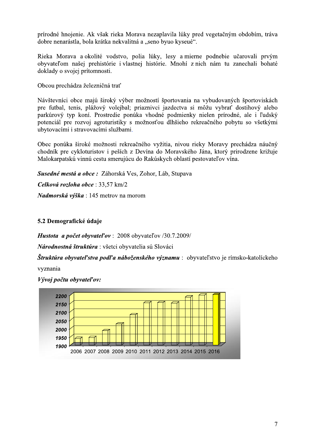prirodne hnojenie. Ak vsak rieka Morava nezaplavila luky pred vegetacnym obdobim, trava dobre nenarastla, bola kratka nekvalitna a "seno byuo kyseue".

Rieka Morava alokolite vodstvo, polia luky, lesy almierne podnebie ucarovali prvym obyvateľom nasej prehistorie i vlastnej historie ej prit

prírodné hnojenie. Ak však rieka Morava nezaplavila lúky pred vegetačným obdobím, tráva<br>dobre nenarástla, bola krátka nekvalitná a "seno byuo kyseué".<br>Rieka Morava a okolité vodstvo, polia lúky, lesy a mierne podnebie učar prírodné hnojenie. Ak však rie<br>dobre nenarástla, bola krátka ne<br>Rieka Morava a okolité vod:<br>obyvateľom našej prehistórie<br>doklady o svojej prítomnosti.<br>Obcou prechádza železničná tra<br>Návštevníci obce majú široký<br>pre futbal, prírodné hnojenie. Ak však rieka M<br>dobre nenarástla, bola krátka nekva<br>Rieka Morava a okolité vodstvo,<br>obyvateľom našej prehistórie i vl<br>doklady o svojej prítomnosti.<br>Obcou prechádza železničná trať<br>Návštevníci obce majú š dobre nenarástla, bola krátka nekvalitná<br>
Rieka Morava a okolité vodstvo, pol<br>
obyvateľom našej prehistórie i vlastne<br>
doklady o svojej prítomnosti.<br>
Obcou prechádza železničná trať<br>
Návštevníci obce majú široký výber m<br>
p u široky vyber možnosti sporto o kyseué".<br>
sy a mierne podnebie učarovali prvým<br>
Mnohí z nich nám tu zanechali bohaté<br>
trovania na vybudovaných športoviskách<br>
dectva si môžu vybrať dostihový alebo<br>
odmienky nielen prírodné, ale i ľudský<br>
lhšieho rekreač dobre nenarástla, bola krátka nekvalitná a "seno byuo kyseué".<br>
Ricka Morava a okolité vodstvo, polia lúky, lesy a mierne podnebie učarovali prvým<br>
obyvateľom našej prehistórie i vlastnej histórie. Mnohí z nich nám tu zane e futbal, tenis, plazovy volejbal; priaznivci jazdectva si možu vybrať dostihovy alebo olité vodstvo, polia lúky, lesy a mierne podn<br>
rehistórie i vlastnej histórie. Mnohí z nich nán<br>
mmosti.<br>
ezničná trať<br>
ijú široký výber možností športovania na vybud<br>
ižový volejbal; priaznivci jazdectva si môžu v<br>
Prostr dstvo, polia lúky, lesy a mierne podnebie uč<br>
e i vlastnej histórie. Mnohí z nich nám tu zar<br>
rať<br>
ý výber možností športovania na vybudovaných<br>
olejbal; priaznivci jazdectva si môžu vybrať d<br>
die ponúka vhodné podmienky n parkurovy typ koni. Prostredie ponuka vhodne podmienky nielen prirod obyvateľom našej prehistórie i vlastnej histórie. Mnohí z nich nám tu zanechali bohaté<br>doklady o svojej prítomnosti.<br>Obcou prechádza železničná trať<br>Návštevníci obce majú široký výber možností športovania na vybudovaných š e rozvoj agroturistiky s moznosťou dlhsieho rekrea doklady o svojej prítomnosti.<br>
Obcou prechádza železničná trať<br>
Návštevníci obce majú široký výber možností športovania na vybudovaných športoviskách<br>
pre úlbal, tenis, plážový volejbal; priaznivci jazdectva si môžu vybrať doklady o svojej prítomnosti.<br>
Obcou prechádza železničná trať<br>
Návštevníci obce majú široký výber možností<br>
pre futbal, tenis, plážový volejbal; priaznivci<br>
parkúrový typ koní. Prostredie ponúka vhodn<br>
potenciál pre rozvo Obcou prechádza železničná<br>Návštevníci obce majú širok<br>pre futbal, tenis, plážový v<br>parkúrový typ koní. Prostre<br>potenciál pre rozvoj agrotur<br>ubytovacími i stravovacími s<br>Obec ponúka široké možnos<br>chodník pre cykloturistov Obcou prechádza železničná trať<br>
Návštevníci obce majú široký výber možnosti športovania na vybudovaných športoviskách<br>
pre futbal, tenis, plážový volejbal; priaznivci jazdectva si môžu vybrať dostihový alebo<br>
prakúrový ty Návštevníci obce majú široký výber<br>pre futbal, tenis, plážový volejbal;<br>parkúrový typ koní. Prostredie pont<br>potenciál pre rozvoj agroturistiky s<br>ubytovacími i stravovacími službami.<br>Obec ponúka široké možnosti rekrea<br>chodn níci obce majú široký výber možností športovar<br>
sal, tenis, plážový volejbal; priaznivci jazdectva<br>
sal, tenis, plážový volejbal; priaznivci jazdectva<br>
sal pre rozvoj agroturistiky s možnosťou dlhšieh<br>
cími i stravovacími Návštevníci obce majú široký výber možnost<br>pre futbal, tenis, plážový volejbal; priaznivo<br>parkúrový typ koní. Prostredie ponúka vhoc<br>potenciál pre rozvoj agroturistiky s možnosť<br>ubytovacími i stravovacími službami.<br>Obec po Návštevníci obce majú široký výber možností športovania na vybudovaných špre futbal, tenis, plážový volejbal; priaznivci jazdectva si môžu vybrať dosparkúrový typ koní. Prostredie ponúka vhodné podmienky nielen prírodné, p

oke moznosti rekreacneho vyzitia, nivou rieky Moravy pred avskeho Jana, ktory prirodzene krizuje Malokarpatskú vinnú cestu smerujúc

ska Ves, Zohor, Lab, Stupava

Celková rozloha obce : 33,57 km/2

*Nadmorska výska* : 145 metrov na morom

# 5.2 Demografické údaje

**Struktura obyvateľstva podľa nabozenskeho vyznamu** : obyvateľstvo je rin

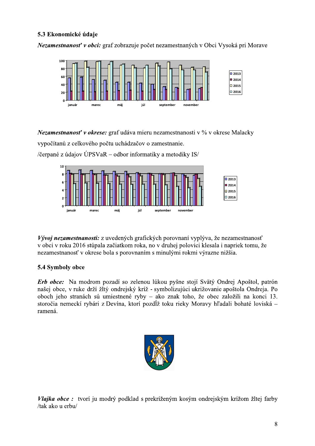# 5.3 Ekonomické údaie

Nezamestnanosť v obci: graf zobrazuje počet nezamestnaných v Obci Vysoká pri Morave



*Nezamestnanosť v okrese:* graf udáva mieru nezamestnanosti v % v okrese Malacky vypočítanú z celkového počtu uchádzačov o zamestnanie.

/čerpané z údajov ÚPSVa $R$  – odbor informatiky a metodiky IS/



Vývoj nezamestnanosti: z uvedených grafických porovnaní vyplýva, že nezamestnanosť v obci v roku 2016 stúpala začiatkom roka, no v druhej polovici klesala i napriek tomu, že nezamestnanosť v okrese bola s porovnaním s minulými rokmi výrazne nižšia.

# 5.4 Symboly obce

Erb obce: Na modrom pozadí so zelenou lúkou pyšne stojí Svätý Ondrej Apoštol, patrón našej obce, v ruke drží žltý ondrejský kríž - symbolizujúci ukrižovanie apoštola Ondreja. Po oboch jeho stranách sú umiestnené ryby – ako znak toho, že obec založili na konci 13. storočia nemeckí rybári z Devína, ktorí pozdĺž toku rieky Moravy hľadali bohaté loviská – ramená.



Vlajka obce: tvorí ju modrý podklad s prekríženým kosým ondrejským krížom žltej farby /tak ako u erbu/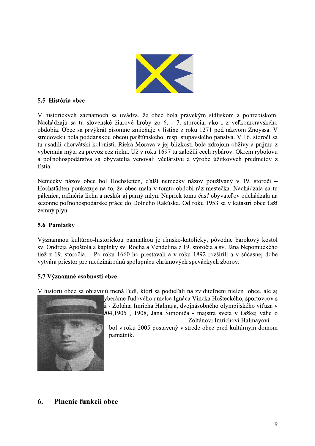

# 5.5 História obce

V historických záznamoch sa uvádza, že obec bola pravekým sídliskom a pohrebiskom. Nachádzajú sa tu slovenské žiarové hroby zo 6. - 7. storočia, ako i z veľkomoravského obdobia. Obec sa prvýkrát písomne zmieňuje v listine z roku 1271 pod názvom Znoyssa. V stredoveku bola poddanskou obcou pajštúnskeho, resp. stupavského panstva. V 16. storočí sa tu usadili chorvátski kolonisti. Rieka Morava v jej blízkosti bola zdrojom obživy a príjmu z vyberania mýta za prevoz cez rieku. Už v roku 1697 tu založili cech rybárov. Okrem rybolovu a poľnohospodárstva sa obyvatelia venovali včelárstvu a výrobe úžitkových predmetov z tŕstia.

Nemecký názov obce bol Hochstetten, ďalší nemecký názov používaný v 19. storočí – Hochstädten poukazuje na to, že obec mala v tomto období ráz mestečka. Nachádzala sa tu pálenica, rafinéria liehu a neskôr aj parný mlyn. Napriek tomu časť obyvateľov odchádzala na sezónne poľnohospodárske práce do Dolného Rakúska. Od roku 1953 sa v katastri obce ťaží zemný plyn.

# 5.6 Pamiatky

Významnou kultúrno-historickou pamiatkou je rímsko-katolícky, pôvodne barokový kostol sv. Ondreja Apoštola a kaplnky sv. Rocha a Vendelína z 19. storočia a sv. Jána Nepomuckého tiež z 19. storočia. Po roku 1660 ho prestavali a v roku 1892 rozšírili a v súčasnej dobe vytvára priestor pre medzinárodnú spoluprácu chrámových speváckych zborov.

# 5.7 Významné osobnosti obce

V histórii obce sa objavujú mená ľudí, ktorí sa podieľali na zviditeľnení nielen obce, ale aj



yberáme ľudového umelca Ignáca Vincka Hošteckého, športovcov s i - Zoltána Imricha Halmaja, dvojnásobného olympijského víťaza v 04,1905, 1908, Jána Šimoniča - majstra sveta v ťažkej váhe o Zoltánovi Imrichovi Halmayovi

bol v roku 2005 postavený v strede obce pred kultúrnym domom pamätník.

## 6. Plnenie funkcií obce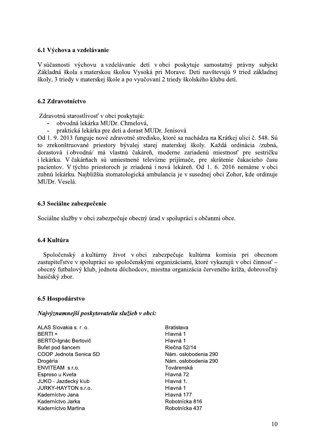# 6.1 Výchova a vzdelávanie

V súčasnosti výchovu a vzdelávanie detí v obci poskytuje samostatný právny subjekt Základná škola s materskou školou Vysoká pri Morave. Deti navštevujú 9 tried základnej školy, 3 triedy v materskej škole a po vyučovaní 2 triedy školského klubu detí.

# 6.2 Zdravotníctvo

Zdravotnú starostlivosť v obci poskytujú:

- obvodná lekárka MUDr. Chmelová,
- praktická lekárka pre deti a dorast MUDr. Jenisová

Od 1, 9, 2013 funguje nové zdravotné stredisko, ktoré sa nachádza na Krátkej ulici č. 548. Sú to zrekonštruované priestory bývalej starej materskej školy. Každá ordinácia /zubná, dorastová i obvodná/ má vlastnú čakáreň, moderne zariadenú miestnosť pre sestričku i lekárku. V čakárňach sú umiestnené televízne prijímače, pre skrátenie čakacieho času pacientov. V týchto priestoroch je zriadená i nová lekáreň. Od 1. 6. 2016 nemáme v obci zubnú lekárku. Najbližšia stomatologická ambulancia je v susednej obci Zohor, kde ordinuje MUDr. Veselá.

# 6.3 Sociálne zabezpečenie

Sociálne služby v obci zabezpečuje obecný úrad v spolupráci s občanmi obce.

# 6.4 Kultúra

Spoločenský a kultúrny život v obci zabezpečuje kultúrna komisia pri obecnom zastupiteľstve v spolupráci so spoločenskými organizáciami, ktoré vykazujú v obci činnosť – obecný futbalový klub, jednota dôchodcov, miestna organizácia červeného kríža, dobrovoľný hasičský zbor.

# 6.5 Hospodárstvo

# Najvýznamnejší poskytovatelia služieb v obci:

ALAS Slovakia s. r. o. BERTI + **BERTO-lgnác Bertovič** Bufet pod šancem COOP Jednota Senica SD Drogéria ENVITEAM s.r.o. Espreso u Kveta JUKO - Jazdecký klub **JURKY-HAYTON s.r.o.** Kaderníctvo Jana Kaderníctvo Jarka Kaderníctvo Martina

**Bratislava** Hlavná 1 Hlavná 1 Riečna 52/14 Nám. oslobodenia 290 Nám. oslobodenia 290 Továrenská Hlavná 72 Hlavná 1. Hlavná 1 Hlavná 177 Robotnícka 816 Robotnícka 437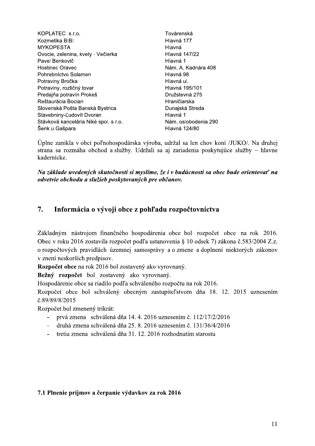| KOPLATEC s.r.o.                       | Továrenská           |
|---------------------------------------|----------------------|
| Kozmetika BIBI                        | Hlavná 177           |
| <b>MYKOPESTA</b>                      | Hlavná               |
| Ovocie, zelenina, kvety - Večierka    | Hlavná 147/22        |
| Pavel Benkovič                        | Hlavná 1             |
| <b>Hostinec Oravec</b>                | Nám. A. Kadnára 408  |
| Pohrebníctvo Solamen                  | Hlavná 98            |
| Potraviny Bročka                      | Hlavná ul.           |
| Potraviny, rozličný tovar             | Hlavná 195/101       |
| Predajňa potravín Prokeš              | Družstevná 275       |
| Reštaurácia Bocian                    | Hraničiarska         |
| Slovenská Pošta Banská Bystrica       | Dunajská Streda      |
| Stavebniny-Ludovít Dvoran             | Hlavná 1             |
| Stávková kancelária Niké spol. s r.o. | Nám. oslobodenia 290 |
| Šenk u Gašpara                        | <b>Hlavná 124/80</b> |
|                                       |                      |

Úplne zanikla v obci poľnohospodárska výroba, udržal sa len chov koní /JUKO/. Na druhej strana sa rozmáha obchod a služby. Udržali sa aj zariadenia poskytujúce služby – hlavne kadernícke.

Na základe uvedených skutočností si myslíme, že i v budúcnosti sa obec bude orientovať na odvetvie obchodu a služieb poskytovaných pre občanov.

## 7. Informácia o vývoji obce z pohľadu rozpočtovníctva

Základným nástrojom finančného hospodárenia obce bol rozpočet obce na rok 2016. Obec v roku 2016 zostavila rozpočet podľa ustanovenia § 10 odsek 7) zákona č.583/2004 Z.z. o rozpočtových pravidlách územnej samosprávy a o zmene a doplnení niektorých zákonov v znení neskorších predpisov.

Rozpočet obce na rok 2016 bol zostavený ako vyrovnaný.

Bežný rozpočet bol zostavený ako vyrovnaný.

Hospodárenie obce sa riadilo podľa schváleného rozpočtu na rok 2016.

Rozpočet obce bol schválený obecným zastupiteľstvom dňa 18. 12. 2015 uznesením č.89/89/8/2015

Rozpočet bol zmenený trikrát:

- prvá zmena schválená dňa 14. 4. 2016 uznesením č. 112/17/2/2016
- druhá zmena schválená dňa 25. 8. 2016 uznesením č. 131/36/4/2016  $\overline{a}$
- tretia zmena schválená dňa 31. 12. 2016 rozhodnutím starostu

# 7.1 Plnenie príjmov a čerpanie výdavkov za rok 2016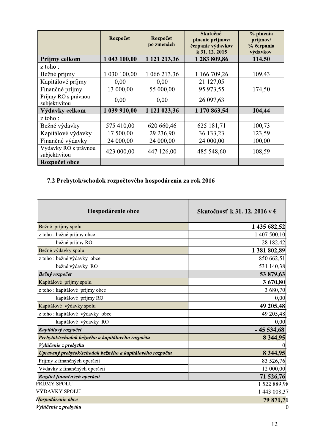|                                       | Rozpočet     | Rozpočet<br>po zmenách | Skutočné<br>plnenie príjmov/<br>čerpanie výdavkov<br>k 31.12.2015 | % plnenia<br>príjmov/<br>% čerpania<br>výdavkov |
|---------------------------------------|--------------|------------------------|-------------------------------------------------------------------|-------------------------------------------------|
| Príjmy celkom                         | 1 043 100,00 | 1 121 213,36           | 1 283 809,86                                                      | 114,50                                          |
| z toho:                               |              |                        |                                                                   |                                                 |
| Bežné príjmy                          | 1 030 100,00 | 1 066 213,36           | 1 166 709,26                                                      | 109,43                                          |
| Kapitálové príjmy                     | 0,00         | 0,00                   | 21 127,05                                                         |                                                 |
| Finančné príjmy                       | 13 000,00    | 55 000,00              | 95 973,55                                                         | 174,50                                          |
| Príjmy RO s právnou<br>subjektivitou  | 0,00         | 0,00                   | 26 097,63                                                         |                                                 |
| Výdavky celkom                        | 1 039 910,00 | 1 121 023,36           | 1 170 863,54                                                      | 104,44                                          |
| z toho:                               |              |                        |                                                                   |                                                 |
| Bežné výdavky                         | 575 410,00   | 620 660,46             | 625 181,71                                                        | 100,73                                          |
| Kapitálové výdavky                    | 17 500,00    | 29 236,90              | 36 133,23                                                         | 123,59                                          |
| Finančné výdavky                      | 24 000,00    | 24 000,00              | 24 000,00                                                         | 100,00                                          |
| Výdavky RO s právnou<br>subjektivitou | 423 000,00   | 447 126,00             | 485 548,60                                                        | 108,59                                          |
| Rozpočet obce                         |              |                        |                                                                   |                                                 |

# 7.2 Prebytok/schodok rozpočtového hospodárenia za rok 2016

| Hospodárenie obce                                         | Skutočnosť k 31. 12. 2016 v € |
|-----------------------------------------------------------|-------------------------------|
| Bežné príjmy spolu                                        | 1 435 682,52                  |
| z toho : bežné príjmy obce                                | 1 407 500,10                  |
| bežné príjmy RO                                           | 28 182,42                     |
| Bežné výdavky spolu                                       | 1 381 802,89                  |
| z toho : bežné výdavky obce                               | 850 662,51                    |
| bežné výdavky RO                                          | 531 140,38                    |
| Bežný rozpočet                                            | 53 879,63                     |
| Kapitálové príjmy spolu                                   | 3 670,80                      |
| z toho : kapitálové príjmy obce                           | 3 680,70                      |
| kapitálové príjmy RO                                      | 0,00                          |
| Kapitálové výdavky spolu                                  | 49 205,48                     |
| z toho : kapitálové výdavky obce                          | 49 205,48                     |
| kapitálové výdavky RO                                     | 0,00                          |
| Kapitálový rozpočet                                       | $-45534,68$                   |
| Prebytok/schodok bežného a kapitálového rozpočtu          | 8 3 4 4 , 9 5                 |
| Vylúčenie z prebytku                                      |                               |
| Upravený prebytok/schodok bežného a kapitálového rozpočtu | 8 3 4 4 , 9 5                 |
| Príjmy z finančných operácií                              | 83 526,76                     |
| Výdavky z finančných operácií                             | 12 000,00                     |
| Rozdiel finančných operácií                               | 71 526,76                     |
| PRÍJMY SPOLU                                              | 1 522 889,98                  |
| VÝDAVKY SPOLU                                             | 1 443 008,37                  |
| Hospodárenie obce                                         | 79 871,71                     |
| Vylúčenie z prebytku                                      | $\boldsymbol{0}$              |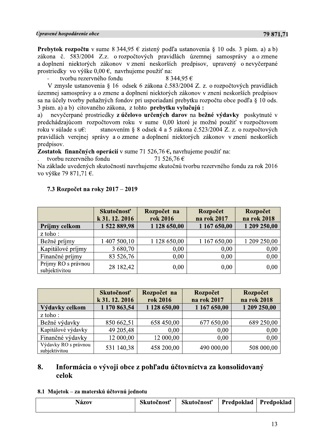*Cyracomé hospodárenie obce*<br> **29 871.71**<br> **Prebylis Propodárenie obce**<br> **Predbylis Propodárenie obce**<br> **Predbylis Proposition 19** simes 8 344.95 C zistený podľa ustanovenia § 10 ods. 3 písm. a) ab)<br> **Pridhylis Conserved** 

|                                      | Skutočnosť<br>k 31.12.2016 | Rozpočet na<br>rok 2016 | Rozpočet<br>na rok 2017 | Rozpočet<br>na rok 2018 |
|--------------------------------------|----------------------------|-------------------------|-------------------------|-------------------------|
| Príjmy celkom                        | 1522889,98                 | 1 128 650,00            | 1 167 650,00            | 1 209 250,00            |
| z toho:                              |                            |                         |                         |                         |
| Bežné príjmy                         | 1 407 500,10               | 1 128 650,00            | 1 167 650,00            | 209 250,00              |
| Kapitálové príjmy                    | 3 680,70                   | 0,00                    | 0,00                    | 0,00                    |
| Finančné príjmy                      | 83 526,76                  | 0,00                    | 0,00                    | 0,00                    |
| Príjmy RO s právnou<br>subjektivitou | 28 182,42                  | 0,00                    | 0,00                    | 0,00                    |
|                                      |                            |                         |                         |                         |
|                                      |                            |                         |                         |                         |
|                                      | Skutočnosť                 | Rozpočet na             | Rozpočet                | Rozpočet                |
|                                      | k 31. 12. 2016             | rok 2016                | na rok 2017             | na rok 2018             |
| Výdavky celkom                       | 1 170 863,54               | 1 128 650,00            | 1 167 650,00            | 1 209 250,00            |
| z toho:                              |                            |                         |                         |                         |
| Bežné výdavky                        | 850 662,51                 | 658 450,00              | 677 650,00              | 689 250,00              |
| Kapitálové výdavky                   | 49 205,48                  | 0,00                    | 0,00                    | 0,00                    |

# 7.3 Rozpočet na roky 2017 – 2019

|                                           | Skutočnosť<br>k 31.12.2016 | Rozpočet na<br>rok 2016 | Rozpočet<br>na rok 2017                                         | Rozpočet<br>na rok 2018 |
|-------------------------------------------|----------------------------|-------------------------|-----------------------------------------------------------------|-------------------------|
| Výdavky celkom                            | 1 170 863,54               | 1 128 650,00            | 1 167 650,00                                                    | 1 209 250,00            |
| z toho:                                   |                            |                         |                                                                 |                         |
| Bežné výdavky                             | 850 662,51                 | 658 450,00              | 677 650,00                                                      | 689 250,00              |
| Kapitálové výdavky                        | 49 205,48                  | 0,00                    | 0,00                                                            | 0,00                    |
| Finančné výdavky                          | 12 000,00                  | 12 000,00               | 0,00                                                            | 0,00                    |
| Výdavky RO s právnou<br>subjektivitou     | 531 140,38                 | 458 200,00              | 490 000,00                                                      | 508 000,00              |
|                                           |                            |                         |                                                                 |                         |
| 8.<br>celok                               |                            |                         | Informácia o vývoji obce z pohľadu účtovníctva za konsolidovaný |                         |
| 8.1 Majetok – za materskú účtovnú jednotu |                            |                         |                                                                 |                         |

| Názov | Skutočnosť | Skutočnosť | Predpoklad | Predpoklad |
|-------|------------|------------|------------|------------|
|-------|------------|------------|------------|------------|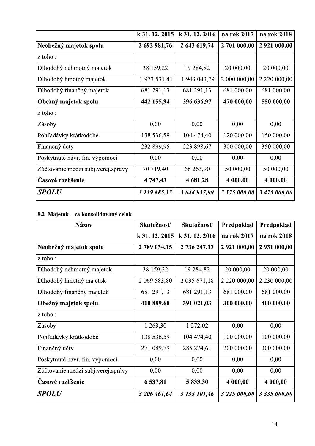|                                    | k 31, 12, 2015 | k 31, 12, 2016 | na rok 2017  | na rok 2018  |
|------------------------------------|----------------|----------------|--------------|--------------|
| Neobežný majetok spolu             | 2 692 981,76   | 2 643 619,74   | 2 701 000,00 | 2 921 000,00 |
| z toho:                            |                |                |              |              |
| Dlhodobý nehmotný majetok          | 38 159,22      | 19 284,82      | 20 000,00    | 20 000,00    |
| Dlhodobý hmotný majetok            | 1 973 531,41   | 1 943 043,79   | 2 000 000,00 | 2 220 000,00 |
| Dlhodobý finančný majetok          | 681 291,13     | 681 291,13     | 681 000,00   | 681 000,00   |
| Obežný majetok spolu               | 442 155,94     | 396 636,97     | 470 000,00   | 550 000,00   |
| z toho:                            |                |                |              |              |
| Zásoby                             | 0,00           | 0,00           | 0,00         | 0,00         |
| Pohľadávky krátkodobé              | 138 536,59     | 104 474,40     | 120 000,00   | 150 000,00   |
| Finančný účty                      | 232 899,95     | 223 898,67     | 300 000,00   | 350 000,00   |
| Poskytnuté návr. fin. výpomoci     | 0,00           | 0,00           | 0,00         | 0,00         |
| Zúčtovanie medzi subj.verej.správy | 70 719,40      | 68 263,90      | 50 000,00    | 50 000,00    |
| Časové rozlíšenie                  | 4 747,43       | 4 681,28       | 4 000,00     | 4 000,00     |
| SPOLU                              | 3 139 885,13   | 3 044 937,99   | 3 175 000,00 | 3 475 000,00 |

# 8.2 Majetok – za konsolidovaný celok

| <b>Názov</b>                       | Skutočnosť   | Skutočnosť          | Predpoklad   | Predpoklad   |
|------------------------------------|--------------|---------------------|--------------|--------------|
|                                    | k 31.12.2015 | k 31.12.2016        | na rok 2017  | na rok 2018  |
| Neobežný majetok spolu             | 2 789 034,15 | 2 736 247,13        | 2 921 000,00 | 2 931 000,00 |
| z toho:                            |              |                     |              |              |
| Dlhodobý nehmotný majetok          | 38 159,22    | 19 284,82           | 20 000,00    | 20 000,00    |
| Dlhodobý hmotný majetok            | 2 069 583,80 | 2 0 3 5 6 7 1 , 1 8 |              | 2 230 000,00 |
| Dlhodobý finančný majetok          | 681 291,13   | 681 291,13          | 681 000,00   | 681 000,00   |
| Obežný majetok spolu               | 410 889,68   | 391 021,03          | 300 000,00   | 400 000,00   |
| z toho:                            |              |                     |              |              |
| Zásoby                             | 1 263,30     | 1 272,02            | 0,00         | 0,00         |
| Pohľadávky krátkodobé              | 138 536,59   | 104 474,40          | 100 000,00   | 100 000,00   |
| Finančný účty                      | 271 089,79   | 285 274,61          | 200 000,00   | 300 000,00   |
| Poskytnuté návr. fin. výpomoci     | 0,00         | 0,00                | 0,00         | 0,00         |
| Zúčtovanie medzi subj.verej.správy | 0,00         | 0,00                | 0,00         | 0,00         |
| Časové rozlíšenie                  | 6 537,81     | 5 833,30            | 4 000,00     | 4 000,00     |
| <b>SPOLU</b>                       | 3 206 461,64 | 3 133 101,46        | 3 225 000,00 | 3 335 000,00 |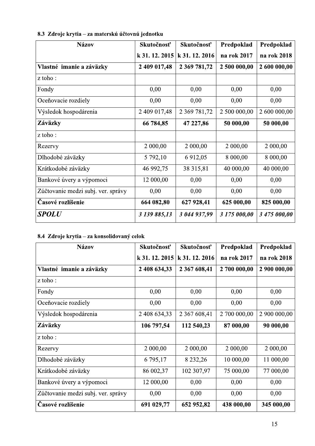| <b>Názov</b>                       | Skutočnosť   | Skutočnosť        | Predpoklad   | Predpoklad   |
|------------------------------------|--------------|-------------------|--------------|--------------|
|                                    | k 31.12.2015 | k 31.12.2016      | na rok 2017  | na rok 2018  |
| Vlastné imanie a záväzky           | 2 409 017,48 | 2 369 781,72      | 2 500 000,00 | 2 600 000,00 |
| z toho:                            |              |                   |              |              |
| Fondy                              | 0,00         | 0,00              | 0,00         | 0,00         |
| Oceňovacie rozdiely                | 0,00         | 0,00              | 0,00         | 0,00         |
| Výsledok hospodárenia              | 2 409 017,48 | 2 3 69 7 8 1, 7 2 | 2 500 000,00 | 2 600 000,00 |
| Záväzky                            | 66 784,85    | 47 227,86         | 50 000,00    | 50 000,00    |
| z toho:                            |              |                   |              |              |
| Rezervy                            | 2 000,00     | 2 000,00          | 2 000,00     | 2 000,00     |
| Dlhodobé záväzky                   | 5 792,10     | 6 912,05          | 8 000,00     | 8 000,00     |
| Krátkodobé záväzky                 | 46 992,75    | 38 315,81         | 40 000,00    | 40 000,00    |
| Bankové úvery a výpomoci           | 12 000,00    | 0,00              | 0,00         | 0,00         |
| Zúčtovanie medzi subj. ver. správy | 0,00         | 0,00              | 0,00         | 0,00         |
| Časové rozlíšenie                  | 664 082,80   | 627 928,41        | 625 000,00   | 825 000,00   |
| SPOLU                              | 3 139 885,13 | 3 044 937,99      | 3 175 000,00 | 3 475 000,00 |

# 8.3 Zdroje krytia – za materskú účtovnú jednotku

# 8.4 Zdroje krytia – za konsolidovaný celok

| <b>Názov</b>                       | Skutočnosť   | Skutočnosť       | Predpoklad   | Predpoklad   |
|------------------------------------|--------------|------------------|--------------|--------------|
|                                    | k 31.12.2015 | k 31.12.2016     | na rok 2017  | na rok 2018  |
| Vlastné imanie a záväzky           | 2 408 634,33 | 2 367 608,41     | 2 700 000,00 | 2 900 000,00 |
| z toho:                            |              |                  |              |              |
| Fondy                              | 0,00         | 0,00             | 0,00         | 0,00         |
| Oceňovacie rozdiely                | 0,00         | 0,00             | 0,00         | 0,00         |
| Výsledok hospodárenia              | 2 408 634,33 | 2 3 6 7 6 0 8,41 | 2 700 000,00 | 2 900 000,00 |
| Záväzky                            | 106 797,54   | 112 540,23       | 87 000,00    | 90 000,00    |
| z toho:                            |              |                  |              |              |
| Rezervy                            | 2 000,00     | 2 000,00         | 2 000,00     | 2 000,00     |
| Dlhodobé záväzky                   | 6 795,17     | 8 2 3 2 , 2 6    | 10 000,00    | 11 000,00    |
| Krátkodobé záväzky                 | 86 002,37    | 102 307,97       | 75 000,00    | 77 000,00    |
| Bankové úvery a výpomoci           | 12 000,00    | 0,00             | 0,00         | 0,00         |
| Zúčtovanie medzi subj. ver. správy | 0,00         | 0,00             | 0,00         | 0,00         |
| Časové rozlíšenie                  | 691 029,77   | 652 952,82       | 438 000,00   | 345 000,00   |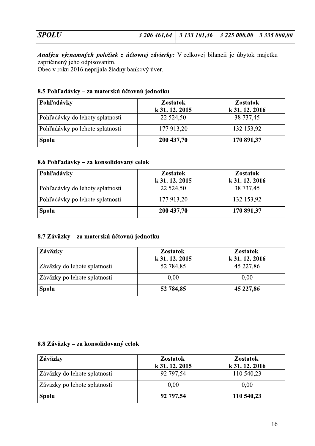| <b>SPOLU</b> | 3 206 461,64   3 133 101,46   3 225 000,00   3 335 000,00 |  |  |
|--------------|-----------------------------------------------------------|--|--|
|              |                                                           |  |  |

| <b>SPOLU</b>                                                                                                                                                                                                                       | 3 206 461,64    | 3 133 101,46 | 3 225 000,00    | 3 335 000,00 |
|------------------------------------------------------------------------------------------------------------------------------------------------------------------------------------------------------------------------------------|-----------------|--------------|-----------------|--------------|
| <i>Analýza významných položiek z účtovnej závierky:</i> V celkovej bilancii je úbytok majetku<br>zapríčinený jeho odpisovaním.<br>Obec v roku 2016 neprijala žiadny bankový úver.<br>8.5 Pohľadávky – za materskú účtovnú jednotku |                 |              |                 |              |
| Pohľadávky                                                                                                                                                                                                                         | <b>Zostatok</b> |              | <b>Zostatok</b> |              |
|                                                                                                                                                                                                                                    | k 31.12.2015    |              | k 31.12.2016    |              |
| Pohľadávky do lehoty splatnosti                                                                                                                                                                                                    | 22 5 24, 50     |              | 38 737,45       |              |
| Pohľadávky po lehote splatnosti                                                                                                                                                                                                    | 177 913,20      |              | 132 153,92      |              |
| <b>Spolu</b>                                                                                                                                                                                                                       | 200 437,70      |              | 170 891,37      |              |

# 8.6 Pohľadávky – za konsolidovaný celok

| <b>Pohľadávky</b>               | <b>Zostatok</b><br>k 31.12.2015 | <b>Zostatok</b><br>k 31.12.2016 |
|---------------------------------|---------------------------------|---------------------------------|
| Pohľadávky do lehoty splatnosti | 22 5 24, 50                     | 38 737,45                       |
| Pohľadávky po lehote splatnosti | 177 913,20                      | 132 153,92                      |
| <b>Spolu</b>                    | 200 437,70                      | 170 891,37                      |

# 8.7 Záväzky – za materskú účtovnú jednotku

| Záväzky                      | <b>Zostatok</b><br>k 31, 12, 2015 | <b>Zostatok</b><br>k 31, 12, 2016 |
|------------------------------|-----------------------------------|-----------------------------------|
| Záväzky do lehote splatnosti | 52 784,85                         | 45 227,86                         |
| Záväzky po lehote splatnosti | 0.00                              | 0.00                              |
| <b>Spolu</b>                 | 52 784,85                         | 45 227,86                         |

# 8.8 Záväzky – za konsolidovaný celok

| Záväzky                      | <b>Zostatok</b><br>k 31.12.2015 | <b>Zostatok</b><br>k 31.12.2016 |
|------------------------------|---------------------------------|---------------------------------|
| Záväzky do lehote splatnosti | 92 797,54                       | 110 540,23                      |
| Záväzky po lehote splatnosti | 0.00                            | 0,00                            |
| <b>Spolu</b>                 | 92 797,54                       | 110 540,23                      |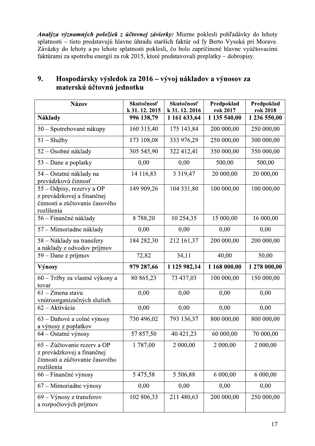Analýza významných položiek z účtovnej závierky: Mierne poklesli pohľadávky do lehoty splatnosti – tieto predstavujú hlavne úhradu starších faktúr od fy Berto Vysoká pri Morave. Záväzky do lehoty a po lehote splatnosti poklesli, čo bolo zapríčinené hlavne vyúčtovacími faktúrami za spotrebu energií za rok 2015, ktoré predstavovali preplatky – dobropisy.

| <b>Názov</b>                                                                                              | Skutočnosť<br>k 31.12.2015 | Skutočnosť<br>k 31.12.2016 | Predpoklad<br>rok 2017 | Predpoklad<br>rok 2018 |
|-----------------------------------------------------------------------------------------------------------|----------------------------|----------------------------|------------------------|------------------------|
| Náklady                                                                                                   | 996 138,79                 | 1 161 633,64               | 1 135 540,00           | 1 236 550,00           |
| 50 – Spotrebované nákupy                                                                                  | 160 315,40                 | 175 143,84                 | 200 000,00             | 250 000,00             |
| $51 - Služby$                                                                                             | 173 108,08                 | 333 976,29                 | 250 000,00             | 300 000,00             |
| 52 – Osobné náklady                                                                                       | 305 545,90                 | 322 412,41                 | 350 000,00             | 350 000,00             |
| $53 -$ Dane a poplatky                                                                                    | 0,00                       | 0,00                       | 500,00                 | 500,00                 |
| 54 – Ostatné náklady na<br>prevádzkovú činnosť                                                            | 14 116,83                  | 3 3 1 9 4 7                | 20 000,00              | 20 000,00              |
| 55 – Odpisy, rezervy a OP<br>z prevádzkovej a finančnej<br>činnosti a zúčtovanie časového<br>rozlíšenia   | 149 909,26                 | 104 331,80                 | 100 000,00             | 100 000,00             |
| 56 – Finančné náklady                                                                                     | 8788,20                    | 10 254,35                  | 15 000,00              | 16 000,00              |
| 57 – Mimoriadne náklady                                                                                   | 0,00                       | 0,00                       | 0,00                   | 0,00                   |
| 58 – Náklady na transfery<br>a náklady z odvodov príjmov                                                  | 184 282,30                 | 212 161,37                 | 200 000,00             | 200 000,00             |
| 59 – Dane z príjmov                                                                                       | 72,82                      | 34,11                      | 40,00                  | 50,00                  |
| Výnosy                                                                                                    | 979 287,66                 | 1 125 982,14               | 1 168 000,00           | 1 278 000,00           |
| 60 – Tržby za vlastné výkony a<br>tovar                                                                   | 80 865,23                  | 73 437,03                  | 100 000,00             | 150 000,00             |
| $61 - Z$ mena stavu<br>vnútroorganizačných služieb                                                        | 0,00                       | 0,00                       | 0,00                   | 0,00                   |
| 62 - Aktivácia                                                                                            | 0,00                       | 0,00                       | 0,00                   | 0,00                   |
| 63 – Daňové a colné výnosy<br>a výnosy z poplatkov                                                        | 730 496,02                 | 793 136,37                 | 800 000,00             | 800 000,00             |
| $64$ – Ostatné výnosy                                                                                     | 57 857,50                  | 40 421,23                  | 60 000,00              | 70 000,00              |
| 65 – Zúčtovanie rezerv a OP<br>z prevádzkovej a finančnej<br>činnosti a zúčtovanie časového<br>rozlíšenia | 1787,00                    | 2 000,00                   | 2 000,00               | 2 000,00               |
| 66 – Finančné výnosy                                                                                      | 5 475,58                   | 5 506,88                   | 6 000,00               | 6 000,00               |
| 67 – Mimoriadne výnosy                                                                                    | 0,00                       | 0,00                       | 0,00                   | 0,00                   |
| $69 - Výnosy z transferov$<br>a rozpočtových príjmov                                                      | 102 806,33                 | 211 480,63                 | 200 000,00             | 250 000,00             |

## 9. Hospodársky výsledok za 2016 – vývoj nákladov a výnosov za materskú účtovnú jednotku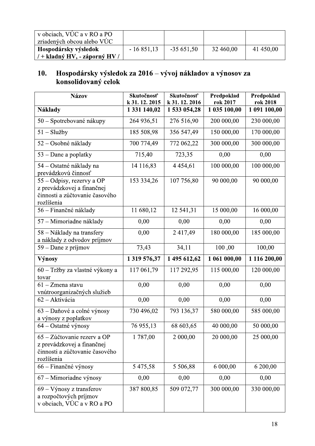| v obciach, VÚC a v RO a PO<br>zriadených obcou alebo VÚC |             |             |           |           |
|----------------------------------------------------------|-------------|-------------|-----------|-----------|
| Hospodársky výsledok                                     | $-16851,13$ | $-35651,50$ | 32 460,00 | 41 450,00 |
| / + kladný HV, - záporný HV                              |             |             |           |           |

# Hospodársky výsledok za 2016 – vývoj nákladov a výnosov za<br>konsolidovaný celok  $10.$

| <b>Názov</b>                                                                                              | Skutočnosť<br>k 31. 12. 2015 | Skutočnosť<br>k 31.12.2016 | Predpoklad<br>rok 2017 | Predpoklad<br>rok 2018 |
|-----------------------------------------------------------------------------------------------------------|------------------------------|----------------------------|------------------------|------------------------|
| <b>Náklady</b>                                                                                            | 1 331 140,02                 | 1 533 054,28               | 1 035 100,00           | 1 091 100,00           |
| 50 – Spotrebované nákupy                                                                                  | 264 936,51                   | 276 516,90                 | 200 000,00             | 230 000,00             |
| $51 - Služby$                                                                                             | 185 508,98                   | 356 547,49                 | 150 000,00             | 170 000,00             |
| 52 – Osobné náklady                                                                                       | 700 774,49                   | 772 062,22                 | 300 000,00             | 300 000,00             |
| $53 -$ Dane a poplatky                                                                                    | 715,40                       | 723,35                     | 0,00                   | 0,00                   |
| 54 – Ostatné náklady na<br>prevádzkovú činnosť                                                            | 14 116,83                    | 4 4 5 4 6 1                | 100 000,00             | 100 000,00             |
| 55 - Odpisy, rezervy a OP<br>z prevádzkovej a finančnej<br>činnosti a zúčtovanie časového<br>rozlíšenia   | 153 334,26                   | 107 756,80                 | 90 000,00              | 90 000,00              |
| 56 – Finančné náklady                                                                                     | 11 680,12                    | 12 541,31                  | 15 000,00              | 16 000,00              |
| 57 – Mimoriadne náklady                                                                                   | 0,00                         | 0,00                       | 0,00                   | 0,00                   |
| 58 – Náklady na transfery<br>a náklady z odvodov príjmov                                                  | 0,00                         | 2 417,49                   | 180 000,00             | 185 000,00             |
| $59 -$ Dane z príjmov                                                                                     | 73,43                        | 34,11                      | 100,00                 | 100,00                 |
| Výnosy                                                                                                    | 1 319 576,37                 | 1 495 612,62               | 1 061 000,00           | 1 116 200,00           |
| 60 – Tržby za vlastné výkony a<br>tovar                                                                   | 117 061,79                   | 117 292,95                 | 115 000,00             | 120 000,00             |
| $61 - Z$ mena stavu<br>vnútroorganizačných služieb                                                        | 0,00                         | 0,00                       | 0,00                   | 0,00                   |
| 62 - Aktivácia                                                                                            | 0,00                         | 0,00                       | 0,00                   | 0,00                   |
| 63 – Daňové a colné výnosy<br>a výnosy z poplatkov                                                        | 730 496,02                   | 793 136,37                 | 580 000,00             | 585 000,00             |
| 64 – Ostatné výnosy                                                                                       | 76 955,13                    | 68 603,65                  | 40 000,00              | 50 000,00              |
| 65 – Zúčtovanie rezerv a OP<br>z prevádzkovej a finančnej<br>činnosti a zúčtovanie časového<br>rozlíšenia | 1787,00                      | 2 000,00                   | 20 000,00              | 25 000,00              |
| 66 – Finančné výnosy                                                                                      | 5 475,58                     | 5 506,88                   | 6 000,00               | 6 200,00               |
| $67 -$ Mimoriadne výnosy                                                                                  | 0,00                         | 0,00                       | 0,00                   | 0,00                   |
| $69 - V$ ýnosy z transferov<br>a rozpočtových príjmov<br>v obciach, VÚC a v RO a PO                       | 387 800,85                   | 509 072,77                 | 300 000,00             | 330 000,00             |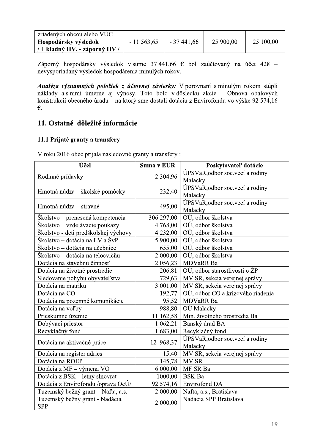| zriadených obcou alebo VÚC  |             |             |           |           |
|-----------------------------|-------------|-------------|-----------|-----------|
| Hospodársky výsledok        | $-11563,65$ | $-37441,66$ | 25 900,00 | 25 100,00 |
| / + kladný HV, - záporný HV |             |             |           |           |

Záporný hospodársky výsledok v sume 37 441,66  $\epsilon$  bol zaúčtovaný na účet 428 nevysporiadaný výsledok hospodárenia minulých rokov.

Analýza významných položiek z účtovnej závierky: V porovnaní s minulým rokom stúpli náklady a s nimi úmerne aj výnosy. Toto bolo v dôsledku akcie – Obnova obalových konštrukcií obecného úradu – na ktorý sme dostali dotáciu z Envirofondu vo výške 92 574,16  $\epsilon$ .

# 11. Ostatné dôležité informácie

# 11.1 Prijaté granty a transfery

| Účel                                         | Suma v EUR    | Poskytovateľ dotácie              |  |
|----------------------------------------------|---------------|-----------------------------------|--|
|                                              |               | ÚPSVaR, odbor soc.vecí a rodiny   |  |
| Rodinné prídavky                             | 2 3 0 4 , 9 6 | Malacky                           |  |
|                                              |               | ÚPSVaR, odbor soc.vecí a rodiny   |  |
| Hmotná núdza – školské pomôcky               | 232,40        | Malacky                           |  |
|                                              |               | ÚPSVaR, odbor soc.vecí a rodiny   |  |
| Hmotná núdza – stravné                       | 495,00        | Malacky                           |  |
| Školstvo – prenesená kompetencia             | 306 297,00    | OÚ, odbor školstva                |  |
| Školstvo – vzdelávacie poukazy               | 4 768,00      | OÚ, odbor školstva                |  |
| Školstvo - deti predškolskej výchovy         | 4 2 3 2 , 0 0 | OÚ, odbor školstva                |  |
| Školstvo – dotácia na LV a ŠvP               | 5 900,00      | OÚ, odbor školstva                |  |
| Školstvo – dotácia na učebnice               | 655,00        | OÚ, odbor školstva                |  |
| Školstvo – dotácia na telocvičňu             | 2 000,00      | OÚ, odbor školstva                |  |
| Dotácia na stavebnú činnosť                  | 2 0 5 6, 23   | <b>MDVaRR Ba</b>                  |  |
| Dotácia na životné prostredie                | 206,81        | OÚ, odbor starostlivosti o ŽP     |  |
| Sledovanie pohybu obyvateľstva               | 729,63        | MV SR, sekcia verejnej správy     |  |
| Dotácia na matriku                           | 3 001,00      | MV SR, sekcia verejnej správy     |  |
| Dotácia na CO                                | 192,77        | OÚ, odbor CO a krízového riadenia |  |
| Dotácia na pozemné komunikácie               | 95,52         | <b>MDVaRR Ba</b>                  |  |
| Dotácia na voľby                             | 988,80        | OÚ Malacky                        |  |
| Prieskumné územie                            | 11 162,58     | Min. životného prostredia Ba      |  |
| Dobývací priestor                            | 1 0 6 2, 2 1  | Banský úrad BA                    |  |
| Recyklačný fond                              | 1683,00       | Recyklačný fond                   |  |
|                                              |               | ÚPSVaR, odbor soc.vecí a rodiny   |  |
| Dotácia na aktivačné práce                   | 12 968,37     | Malacky                           |  |
| Dotácia na register adries                   | 15,40         | MV SR, sekcia verejnej správy     |  |
| Dotácia na ROEP                              | 145,78        | MV SR                             |  |
| Dotácia z MF - výmena VO                     | 6 000,00      | MF SR Ba                          |  |
| Dotácia z BSK - letný slnovrat               | 1000,00       | <b>BSK</b> Ba                     |  |
| Dotácia z Envirofondu /oprava OcÚ/           | 92 574,16     | <b>Envirofond DA</b>              |  |
| Tuzemský bežný grant – Nafta, a.s.           | 2 000,00      | Nafta, a.s., Bratislava           |  |
| Tuzemský bežný grant - Nadácia<br><b>SPP</b> | 2 000,00      | Nadácia SPP Bratislava            |  |

V roku 2016 obec prijala nasledovné granty a transfery :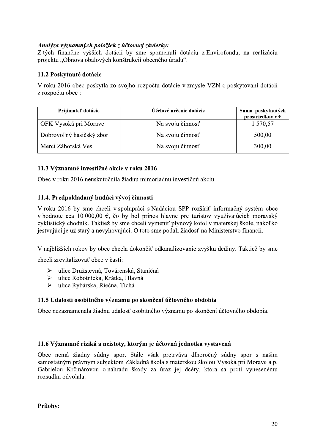# Analýza významných položiek z účtovnej závierky:

Z tých finančne vyšších dotácií by sme spomenuli dotáciu z Envirofondu, na realizáciu projektu "Obnova obalových konštrukcií obecného úradu".

# 11.2 Poskytnuté dotácie

V roku 2016 obec poskytla zo svojho rozpočtu dotácie v zmysle VZN o poskytovaní dotácií z rozpočtu obce :

| Prijímateľ dotácie       | Účelové určenie dotácie | Suma poskytnutých<br>prostriedkov v $\epsilon$ |
|--------------------------|-------------------------|------------------------------------------------|
| OFK Vysoká pri Morave    | Na svoju činnosť        | 1 570,57                                       |
| Dobrovoľný hasičský zbor | Na svoju činnosť        | 500,00                                         |
| Merci Záhorská Ves       | Na svoju činnosť        | 300,00                                         |

# 11.3 Významné investičné akcie v roku 2016

Obec v roku 2016 neuskutočnila žiadnu mimoriadnu investičnú akciu.

# 11.4. Predpokladaný budúci vývoj činnosti

V roku 2016 by sme chceli v spolupráci s Nadáciou SPP rozšíriť informačný systém obce v hodnote cca 10 000,00 €, čo by bol prínos hlavne pre turistov využívajúcich moravský cyklistický chodník. Taktiež by sme chceli vymeniť plynový kotol v materskej škole, nakoľko jestvujúci je už starý a nevyhovujúci. O toto sme podali žiadosť na Ministerstvo financií.

V najbližších rokov by obec chcela dokončiť odkanalizovanie zvyšku dediny. Taktiež by sme

chceli zrevitalizovať obec v časti:

- $\blacktriangleright$ ulice Družstevná, Továrenská, Staničná
- > ulice Robotnícka, Krátka, Hlavná
- > ulice Rybárska, Riečna, Tichá

# 11.5 Udalosti osobitného významu po skončení účtovného obdobia

Obec nezaznamenala žiadnu udalosť osobitného významu po skončení účtovného obdobia.

# 11.6 Významné riziká a neistoty, ktorým je účtovná jednotka vystavená

Obec nemá žiadny súdny spor. Stále však pretrváva dlhoročný súdny spor s našim samostatným právnym subjektom Základná škola s materskou školou Vysoká pri Morave a p. Gabrielou Krčmárovou o náhradu škody za úraz jej dcéry, ktorá sa proti vynesenému rozsudku odvolala.